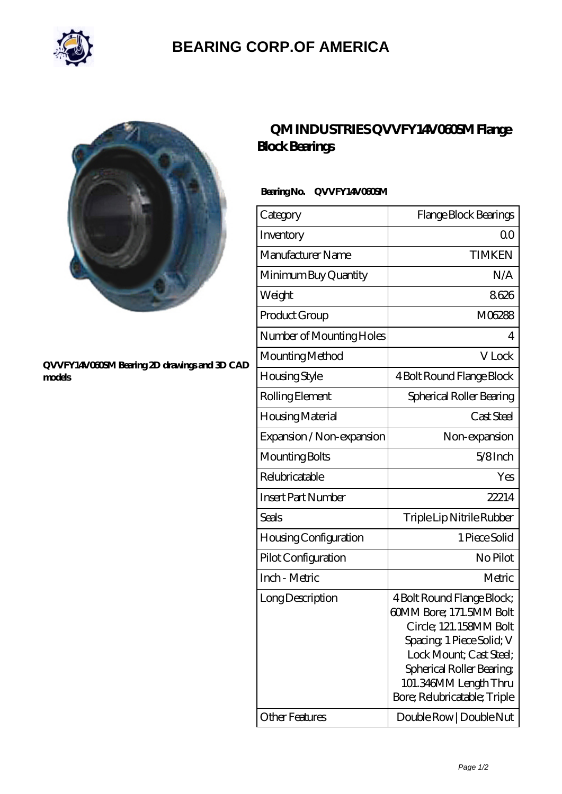

# **[BEARING CORP.OF AMERICA](https://bluemondayreview.com)**



#### **[QVVFY14V060SM Bearing 2D drawings and 3D CAD](https://bluemondayreview.com/pic-175577.html) [models](https://bluemondayreview.com/pic-175577.html)**

## **[QM INDUSTRIES QVVFY14V060SM Flange](https://bluemondayreview.com/az-175577-qm-industries-qvvfy14v060sm-flange-block-bearings.html) [Block Bearings](https://bluemondayreview.com/az-175577-qm-industries-qvvfy14v060sm-flange-block-bearings.html)**

### **Bearing No. QVVFY14V060SM**

| Category                  | Flange Block Bearings                                                                                                                                                                                                        |
|---------------------------|------------------------------------------------------------------------------------------------------------------------------------------------------------------------------------------------------------------------------|
| Inventory                 | Q0                                                                                                                                                                                                                           |
| Manufacturer Name         | <b>TIMKEN</b>                                                                                                                                                                                                                |
| Minimum Buy Quantity      | N/A                                                                                                                                                                                                                          |
| Weight                    | 8626                                                                                                                                                                                                                         |
| Product Group             | M06288                                                                                                                                                                                                                       |
| Number of Mounting Holes  | 4                                                                                                                                                                                                                            |
| Mounting Method           | V Lock                                                                                                                                                                                                                       |
| Housing Style             | 4 Bolt Round Flange Block                                                                                                                                                                                                    |
| Rolling Element           | Spherical Roller Bearing                                                                                                                                                                                                     |
| Housing Material          | Cast Steel                                                                                                                                                                                                                   |
| Expansion / Non-expansion | Non-expansion                                                                                                                                                                                                                |
| Mounting Bolts            | $5/8$ Inch                                                                                                                                                                                                                   |
| Relubricatable            | Yes                                                                                                                                                                                                                          |
| <b>Insert Part Number</b> | 22214                                                                                                                                                                                                                        |
| Seals                     | Triple Lip Nitrile Rubber                                                                                                                                                                                                    |
| Housing Configuration     | 1 Piece Solid                                                                                                                                                                                                                |
| Pilot Configuration       | No Pilot                                                                                                                                                                                                                     |
| Inch - Metric             | Metric                                                                                                                                                                                                                       |
| Long Description          | 4 Bolt Round Flange Block;<br>60MM Bore; 171.5MM Bolt<br>Circle; 121.158MM Bolt<br>Spacing, 1 Piece Solid; V<br>Lock Mount: Cast Steel:<br>Spherical Roller Bearing<br>101.346MM Length Thru<br>Bore; Relubricatable; Triple |
| <b>Other Features</b>     | Double Row   Double Nut                                                                                                                                                                                                      |